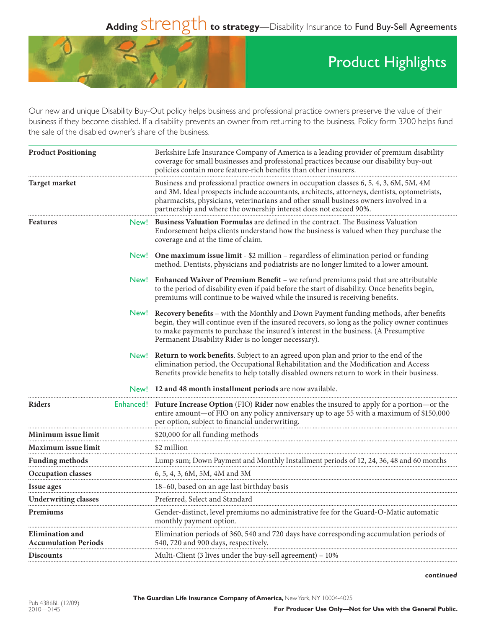## Adding Strength to strategy—Disability Insurance to Fund Buy-Sell Agreements



## Product Highlights

Our new and unique Disability Buy-Out policy helps business and professional practice owners preserve the value of their business if they become disabled. If a disability prevents an owner from returning to the business, Policy form 3200 helps fund the sale of the disabled owner's share of the business.

| <b>Product Positioning</b>                            |      | Berkshire Life Insurance Company of America is a leading provider of premium disability<br>coverage for small businesses and professional practices because our disability buy-out<br>policies contain more feature-rich benefits than other insurers.                                                                                             |
|-------------------------------------------------------|------|----------------------------------------------------------------------------------------------------------------------------------------------------------------------------------------------------------------------------------------------------------------------------------------------------------------------------------------------------|
| <b>Target market</b>                                  |      | Business and professional practice owners in occupation classes 6, 5, 4, 3, 6M, 5M, 4M<br>and 3M. Ideal prospects include accountants, architects, attorneys, dentists, optometrists,<br>pharmacists, physicians, veterinarians and other small business owners involved in a<br>partnership and where the ownership interest does not exceed 90%. |
| Features                                              | New! | <b>Business Valuation Formulas</b> are defined in the contract. The Business Valuation<br>Endorsement helps clients understand how the business is valued when they purchase the<br>coverage and at the time of claim.                                                                                                                             |
|                                                       |      | New! One maximum issue limit - \$2 million – regardless of elimination period or funding<br>method. Dentists, physicians and podiatrists are no longer limited to a lower amount.                                                                                                                                                                  |
|                                                       |      | New! Enhanced Waiver of Premium Benefit - we refund premiums paid that are attributable<br>to the period of disability even if paid before the start of disability. Once benefits begin,<br>premiums will continue to be waived while the insured is receiving benefits.                                                                           |
|                                                       |      | New! Recovery benefits - with the Monthly and Down Payment funding methods, after benefits<br>begin, they will continue even if the insured recovers, so long as the policy owner continues<br>to make payments to purchase the insured's interest in the business. (A Presumptive<br>Permanent Disability Rider is no longer necessary).          |
|                                                       |      | New! Return to work benefits. Subject to an agreed upon plan and prior to the end of the<br>elimination period, the Occupational Rehabilitation and the Modification and Access<br>Benefits provide benefits to help totally disabled owners return to work in their business.                                                                     |
|                                                       |      | New! 12 and 48 month installment periods are now available.                                                                                                                                                                                                                                                                                        |
| Riders                                                |      | Enhanced! Future Increase Option (FIO) Rider now enables the insured to apply for a portion—or the<br>entire amount—of FIO on any policy anniversary up to age 55 with a maximum of \$150,000<br>per option, subject to financial underwriting.                                                                                                    |
| Minimum issue limit                                   |      |                                                                                                                                                                                                                                                                                                                                                    |
| Maximum issue limit                                   |      | \$2 million                                                                                                                                                                                                                                                                                                                                        |
| <b>Funding methods</b>                                |      | Lump sum; Down Payment and Monthly Installment periods of 12, 24, 36, 48 and 60 months                                                                                                                                                                                                                                                             |
| Occupation classes                                    |      | 6, 5, 4, 3, 6M, 5M, 4M and 3M                                                                                                                                                                                                                                                                                                                      |
| Issue ages                                            |      | 18-60, based on an age last birthday basis                                                                                                                                                                                                                                                                                                         |
| Underwriting classes                                  |      | Preferred, Select and Standard                                                                                                                                                                                                                                                                                                                     |
| Premiums                                              |      | Gender-distinct, level premiums no administrative fee for the Guard-O-Matic automatic<br>monthly payment option.                                                                                                                                                                                                                                   |
| <b>Elimination and</b><br><b>Accumulation Periods</b> |      | Elimination periods of 360, 540 and 720 days have corresponding accumulation periods of<br>540, 720 and 900 days, respectively.                                                                                                                                                                                                                    |
| <b>Discounts</b>                                      |      | Multi-Client (3 lives under the buy-sell agreement) – 10%                                                                                                                                                                                                                                                                                          |
|                                                       |      |                                                                                                                                                                                                                                                                                                                                                    |

*continued*